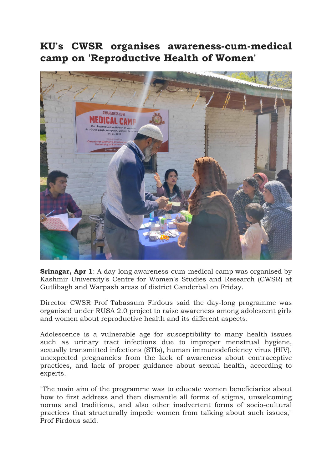## KU's CWSR organises awareness-cum-medical camp on 'Reproductive Health of Women'



Srinagar, Apr 1: A day-long awareness-cum-medical camp was organised by Kashmir University's Centre for Women's Studies and Research (CWSR) at Gutlibagh and Warpash areas of district Ganderbal on Friday.

Director CWSR Prof Tabassum Firdous said the day-long programme was organised under RUSA 2.0 project to raise awareness among adolescent girls and women about reproductive health and its different aspects.

Adolescence is a vulnerable age for susceptibility to many health issues such as urinary tract infections due to improper menstrual hygiene, sexually transmitted infections (STIs), human immunodeficiency virus (HIV), unexpected pregnancies from the lack of awareness about contraceptive practices, and lack of proper guidance about sexual health, according to experts.

"The main aim of the programme was to educate women beneficiaries about how to first address and then dismantle all forms of stigma, unwelcoming norms and traditions, and also other inadvertent forms of socio-cultural practices that structurally impede women from talking about such issues," Prof Firdous said.